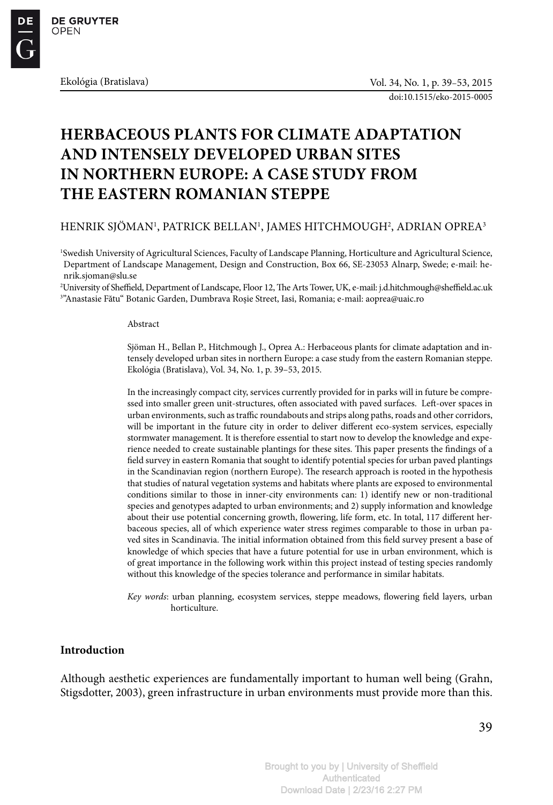# **HERBACEOUS PLANTS FOR CLIMATE ADAPTATION AND INTENSELY DEVELOPED URBAN SITES IN NORTHERN EUROPE: A CASE STUDY FROM THE EASTERN ROMANIAN STEPPE**

## HENRIK SJOMAN<sup>1</sup>, PATRICK BELLAN<sup>1</sup>, JAMES HITCHMOUGH<sup>2</sup>, ADRIAN OPREA<sup>3</sup>

1 Swedish University of Agricultural Sciences, Faculty of Landscape Planning, Horticulture and Agricultural Science, Department of Landscape Management, Design and Construction, Box 66, SE-23053 Alnarp, Swede; e-mail: henrik.sjoman@slu.se

2 University of Sheffield, Department of Landscape, Floor 12, The Arts Tower, UK, e-mail: [j.d.hitchmough@sheffield.ac.uk](mailto:j.d.hitchmough@sheffield.ac.uk) 3 "Anastasie Fătu" Botanic Garden, Dumbrava Roşie Street, Iasi, Romania; e-mail: aoprea@uaic.ro

#### Abstract

Sjöman H., Bellan P., Hitchmough J., Oprea A.: Herbaceous plants for climate adaptation and intensely developed urban sites in northern Europe: a case study from the eastern Romanian steppe. Ekológia (Bratislava), Vol. 34, No. 1, p. 39–53, 2015.

In the increasingly compact city, services currently provided for in parks will in future be compressed into smaller green unit-structures, often associated with paved surfaces. Left-over spaces in urban environments, such as traffic roundabouts and strips along paths, roads and other corridors, will be important in the future city in order to deliver different eco-system services, especially stormwater management. It is therefore essential to start now to develop the knowledge and experience needed to create sustainable plantings for these sites. This paper presents the findings of a field survey in eastern Romania that sought to identify potential species for urban paved plantings in the Scandinavian region (northern Europe). The research approach is rooted in the hypothesis that studies of natural vegetation systems and habitats where plants are exposed to environmental conditions similar to those in inner-city environments can: 1) identify new or non-traditional species and genotypes adapted to urban environments; and 2) supply information and knowledge about their use potential concerning growth, flowering, life form, etc. In total, 117 different herbaceous species, all of which experience water stress regimes comparable to those in urban paved sites in Scandinavia. The initial information obtained from this field survey present a base of knowledge of which species that have a future potential for use in urban environment, which is of great importance in the following work within this project instead of testing species randomly without this knowledge of the species tolerance and performance in similar habitats.

*Key words*: urban planning, ecosystem services, steppe meadows, flowering field layers, urban horticulture.

## **Introduction**

Although aesthetic experiences are fundamentally important to human well being (Grahn, Stigsdotter, 2003), green infrastructure in urban environments must provide more than this.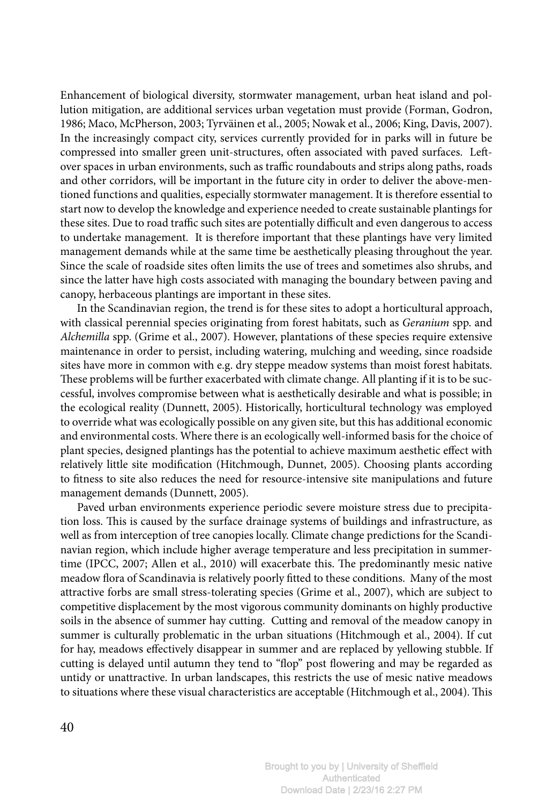Enhancement of biological diversity, stormwater management, urban heat island and pollution mitigation, are additional services urban vegetation must provide (Forman, Godron, 1986; Maco, McPherson, 2003; Tyrväinen et al., 2005; Nowak et al., 2006; King, Davis, 2007). In the increasingly compact city, services currently provided for in parks will in future be compressed into smaller green unit-structures, often associated with paved surfaces. Leftover spaces in urban environments, such as traffic roundabouts and strips along paths, roads and other corridors, will be important in the future city in order to deliver the above-mentioned functions and qualities, especially stormwater management. It is therefore essential to start now to develop the knowledge and experience needed to create sustainable plantings for these sites. Due to road traffic such sites are potentially difficult and even dangerous to access to undertake management. It is therefore important that these plantings have very limited management demands while at the same time be aesthetically pleasing throughout the year. Since the scale of roadside sites often limits the use of trees and sometimes also shrubs, and since the latter have high costs associated with managing the boundary between paving and canopy, herbaceous plantings are important in these sites.

In the Scandinavian region, the trend is for these sites to adopt a horticultural approach, with classical perennial species originating from forest habitats, such as *Geranium* spp. and *Alchemilla* spp. (Grime et al., 2007). However, plantations of these species require extensive maintenance in order to persist, including watering, mulching and weeding, since roadside sites have more in common with e.g. dry steppe meadow systems than moist forest habitats. These problems will be further exacerbated with climate change. All planting if it is to be successful, involves compromise between what is aesthetically desirable and what is possible; in the ecological reality (Dunnett, 2005). Historically, horticultural technology was employed to override what was ecologically possible on any given site, but this has additional economic and environmental costs. Where there is an ecologically well-informed basis for the choice of plant species, designed plantings has the potential to achieve maximum aesthetic effect with relatively little site modification (Hitchmough, Dunnet, 2005). Choosing plants according to fitness to site also reduces the need for resource-intensive site manipulations and future management demands (Dunnett, 2005).

Paved urban environments experience periodic severe moisture stress due to precipitation loss. This is caused by the surface drainage systems of buildings and infrastructure, as well as from interception of tree canopies locally. Climate change predictions for the Scandinavian region, which include higher average temperature and less precipitation in summertime (IPCC, 2007; Allen et al., 2010) will exacerbate this. The predominantly mesic native meadow flora of Scandinavia is relatively poorly fitted to these conditions. Many of the most attractive forbs are small stress-tolerating species (Grime et al., 2007), which are subject to competitive displacement by the most vigorous community dominants on highly productive soils in the absence of summer hay cutting. Cutting and removal of the meadow canopy in summer is culturally problematic in the urban situations (Hitchmough et al., 2004). If cut for hay, meadows effectively disappear in summer and are replaced by yellowing stubble. If cutting is delayed until autumn they tend to "flop" post flowering and may be regarded as untidy or unattractive. In urban landscapes, this restricts the use of mesic native meadows to situations where these visual characteristics are acceptable (Hitchmough et al., 2004). This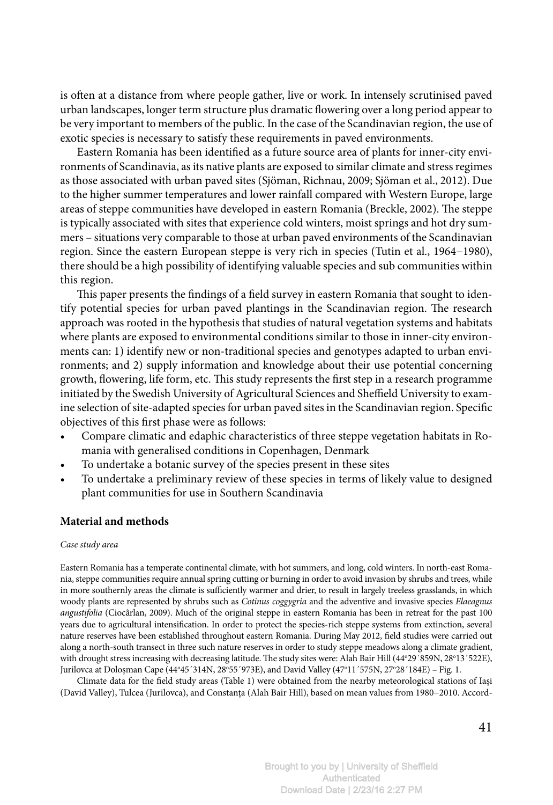is often at a distance from where people gather, live or work. In intensely scrutinised paved urban landscapes, longer term structure plus dramatic flowering over a long period appear to be very important to members of the public. In the case of the Scandinavian region, the use of exotic species is necessary to satisfy these requirements in paved environments.

Eastern Romania has been identified as a future source area of plants for inner-city environments of Scandinavia, as its native plants are exposed to similar climate and stress regimes as those associated with urban paved sites (Sjöman, Richnau, 2009; Sjöman et al., 2012). Due to the higher summer temperatures and lower rainfall compared with Western Europe, large areas of steppe communities have developed in eastern Romania (Breckle, 2002). The steppe is typically associated with sites that experience cold winters, moist springs and hot dry summers – situations very comparable to those at urban paved environments of the Scandinavian region. Since the eastern European steppe is very rich in species (Tutin et al., 1964−1980), there should be a high possibility of identifying valuable species and sub communities within this region.

This paper presents the findings of a field survey in eastern Romania that sought to identify potential species for urban paved plantings in the Scandinavian region. The research approach was rooted in the hypothesis that studies of natural vegetation systems and habitats where plants are exposed to environmental conditions similar to those in inner-city environments can: 1) identify new or non-traditional species and genotypes adapted to urban environments; and 2) supply information and knowledge about their use potential concerning growth, flowering, life form, etc. This study represents the first step in a research programme initiated by the Swedish University of Agricultural Sciences and Sheffield University to examine selection of site-adapted species for urban paved sites in the Scandinavian region. Specific objectives of this first phase were as follows:

- • Compare climatic and edaphic characteristics of three steppe vegetation habitats in Romania with generalised conditions in Copenhagen, Denmark
- To undertake a botanic survey of the species present in these sites
- • To undertake a preliminary review of these species in terms of likely value to designed plant communities for use in Southern Scandinavia

## **Material and methods**

#### *Case study area*

Eastern Romania has a temperate continental climate, with hot summers, and long, cold winters. In north-east Romania, steppe communities require annual spring cutting or burning in order to avoid invasion by shrubs and trees, while in more southernly areas the climate is sufficiently warmer and drier, to result in largely treeless grasslands, in which woody plants are represented by shrubs such as *Cotinus coggygria* and the adventive and invasive species *Elaeagnus angustifolia* (Ciocârlan, 2009). Much of the original steppe in eastern Romania has been in retreat for the past 100 years due to agricultural intensification. In order to protect the species-rich steppe systems from extinction, several nature reserves have been established throughout eastern Romania. During May 2012, field studies were carried out along a north-south transect in three such nature reserves in order to study steppe meadows along a climate gradient, with drought stress increasing with decreasing latitude. The study sites were: Alah Bair Hill (44°29´859N, 28°13´522E), Jurilovca at Doloşman Cape (44°45´314N, 28°55´973E), and David Valley (47°11´575N, 27°28´184E) – Fig. 1.

Climate data for the field study areas (Table 1) were obtained from the nearby meteorological stations of Iaşi (David Valley), Tulcea (Jurilovca), and Constanţa (Alah Bair Hill), based on mean values from 1980−2010. Accord-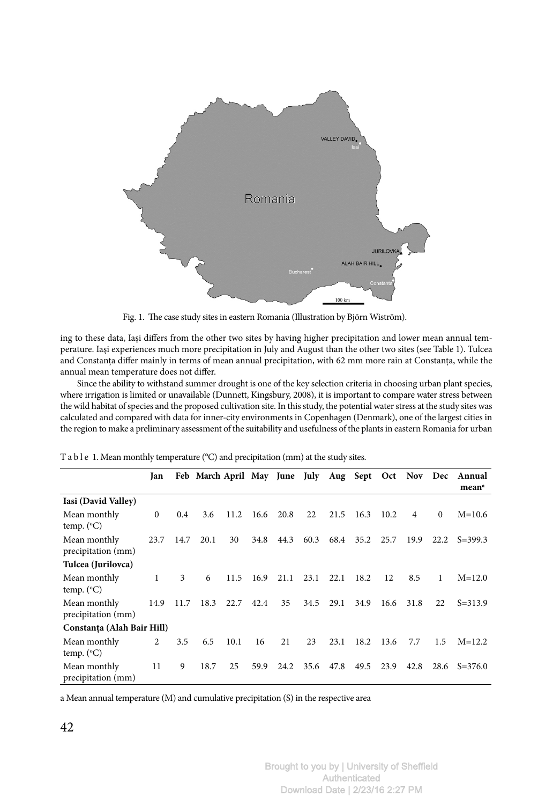

Fig. 1. The case study sites in eastern Romania (Illustration by Björn Wiström).

ing to these data, Iaşi differs from the other two sites by having higher precipitation and lower mean annual temperature. Iaşi experiences much more precipitation in July and August than the other two sites (see Table 1). Tulcea and Constanţa differ mainly in terms of mean annual precipitation, with 62 mm more rain at Constanţa, while the annual mean temperature does not differ.

Since the ability to withstand summer drought is one of the key selection criteria in choosing urban plant species, where irrigation is limited or unavailable (Dunnett, Kingsbury, 2008), it is important to compare water stress between the wild habitat of species and the proposed cultivation site. In this study, the potential water stress at the study sites was calculated and compared with data for inner-city environments in Copenhagen (Denmark), one of the largest cities in the region to make a preliminary assessment of the suitability and usefulness of the plants in eastern Romania for urban

|                                     | <b>Jan</b> |           |      |      |      |      |      |      |      |      |                |          | Feb March April May June July Aug Sept Oct Nov Dec Annual |
|-------------------------------------|------------|-----------|------|------|------|------|------|------|------|------|----------------|----------|-----------------------------------------------------------|
|                                     |            |           |      |      |      |      |      |      |      |      |                |          | mean <sup>a</sup>                                         |
| Iasi (David Valley)                 |            |           |      |      |      |      |      |      |      |      |                |          |                                                           |
| Mean monthly<br>temp. $(^{\circ}C)$ | $\Omega$   | 0.4       | 3.6  | 11.2 | 16.6 | 20.8 | 22   | 21.5 | 16.3 | 10.2 | $\overline{4}$ | $\Omega$ | $M = 10.6$                                                |
| Mean monthly<br>precipitation (mm)  | 23.7       | 14.7      | 20.1 | 30   | 34.8 | 44.3 | 60.3 | 68.4 | 35.2 | 25.7 | 19.9           | 22.2     | $S = 399.3$                                               |
| Tulcea (Jurilovca)                  |            |           |      |      |      |      |      |      |      |      |                |          |                                                           |
| Mean monthly<br>temp. $(^{\circ}C)$ | 1          | 3         | 6    | 11.5 | 16.9 | 21.1 | 23.1 | 22.1 | 18.2 | 12   | 8.5            | 1        | $M = 12.0$                                                |
| Mean monthly<br>precipitation (mm)  |            | 14.9 11.7 | 18.3 | 22.7 | 42.4 | 35   | 34.5 | 29.1 | 34.9 | 16.6 | 31.8           | 22       | $S = 313.9$                                               |
| Constanța (Alah Bair Hill)          |            |           |      |      |      |      |      |      |      |      |                |          |                                                           |
| Mean monthly<br>temp. $(^{\circ}C)$ | 2          | 3.5       | 6.5  | 10.1 | 16   | 21   | 23   | 23.1 | 18.2 | 13.6 | 7.7            | 1.5      | $M = 12.2$                                                |
| Mean monthly<br>precipitation (mm)  | 11         | 9         | 18.7 | 25   | 59.9 | 24.2 | 35.6 | 47.8 | 49.5 | 23.9 | 42.8           | 28.6     | $S = 376.0$                                               |

T a b l e 1. Mean monthly temperature (°C) and precipitation (mm) at the study sites.

a Mean annual temperature (M) and cumulative precipitation (S) in the respective area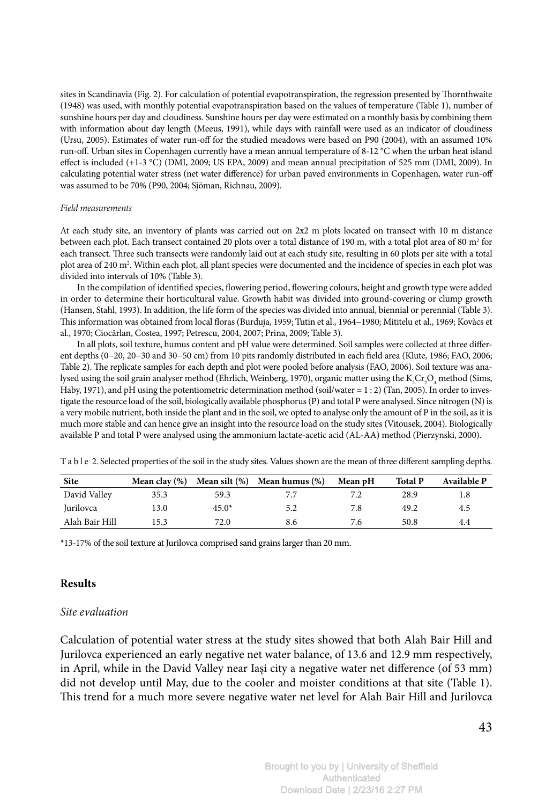sites in Scandinavia (Fig. 2). For calculation of potential evapotranspiration, the regression presented by Thornthwaite (1948) was used, with monthly potential evapotranspiration based on the values of temperature (Table 1), number of sunshine hours per day and cloudiness. Sunshine hours per day were estimated on a monthly basis by combining them with information about day length (Meeus, 1991), while days with rainfall were used as an indicator of cloudiness (Ursu, 2005). Estimates of water run-off for the studied meadows were based on P90 (2004), with an assumed 10% run-off. Urban sites in Copenhagen currently have a mean annual temperature of 8-12 °C when the urban heat island effect is included (+1-3 °C) (DMI, 2009; US EPA, 2009) and mean annual precipitation of 525 mm (DMI, 2009). In calculating potential water stress (net water difference) for urban paved environments in Copenhagen, water run-off was assumed to be 70% (P90, 2004; Sjöman, Richnau, 2009).

#### *Field measurements*

At each study site, an inventory of plants was carried out on 2x2 m plots located on transect with 10 m distance between each plot. Each transect contained 20 plots over a total distance of 190 m, with a total plot area of 80 m² for each transect. Three such transects were randomly laid out at each study site, resulting in 60 plots per site with a total plot area of 240 m². Within each plot, all plant species were documented and the incidence of species in each plot was divided into intervals of 10% (Table 3).

In the compilation of identified species, flowering period, flowering colours, height and growth type were added in order to determine their horticultural value. Growth habit was divided into ground-covering or clump growth (Hansen, Stahl, 1993). In addition, the life form of the species was divided into annual, biennial or perennial (Table 3). This information was obtained from local floras (Burduja, 1959; Tutin et al., 1964−1980; Mititelu et al., 1969; Kovàcs et al., 1970; Ciocârlan, Costea, 1997; Petrescu, 2004, 2007; Prina, 2009; Table 3).

In all plots, soil texture, humus content and pH value were determined. Soil samples were collected at three different depths (0−20, 20−30 and 30−50 cm) from 10 pits randomly distributed in each field area (Klute, 1986; FAO, 2006; Table 2). The replicate samples for each depth and plot were pooled before analysis (FAO, 2006). Soil texture was analysed using the soil grain analyser method (Ehrlich, Weinberg, 1970), organic matter using the  $\rm K_2Cr_2O_4$  method (Sims, Haby, 1971), and pH using the potentiometric determination method (soil/water =  $1:2$ ) (Tan, 2005). In order to investigate the resource load of the soil, biologically available phosphorus (P) and total P were analysed. Since nitrogen (N) is a very mobile nutrient, both inside the plant and in the soil, we opted to analyse only the amount of P in the soil, as it is much more stable and can hence give an insight into the resource load on the study sites (Vitousek, 2004). Biologically available P and total P were analysed using the ammonium lactate-acetic acid (AL-AA) method (Pierzynski, 2000).

| <b>Site</b>      | Mean clay $(\%)$ |         | Mean silt $(\%)$ Mean humus $(\%)$ | Mean pH | <b>Total P</b> | Available P |
|------------------|------------------|---------|------------------------------------|---------|----------------|-------------|
| David Valley     | 35.3             | 59.3    |                                    |         | 28.9           | 8.1         |
| <i>Iurilovca</i> | 13.0             | $45.0*$ | 5.2                                | 7.8     | 49.2           | 4.5         |
| Alah Bair Hill   | 15.3             | 72.0    | 8.6                                | 7.6     | 50.8           | 4.4         |

T a b l e 2. Selected properties of the soil in the study sites. Values shown are the mean of three different sampling depths.

\*13-17% of the soil texture at Jurilovca comprised sand grains larger than 20 mm.

## **Results**

## *Site evaluation*

Calculation of potential water stress at the study sites showed that both Alah Bair Hill and Jurilovca experienced an early negative net water balance, of 13.6 and 12.9 mm respectively, in April, while in the David Valley near Iaşi city a negative water net difference (of 53 mm) did not develop until May, due to the cooler and moister conditions at that site (Table 1). This trend for a much more severe negative water net level for Alah Bair Hill and Jurilovca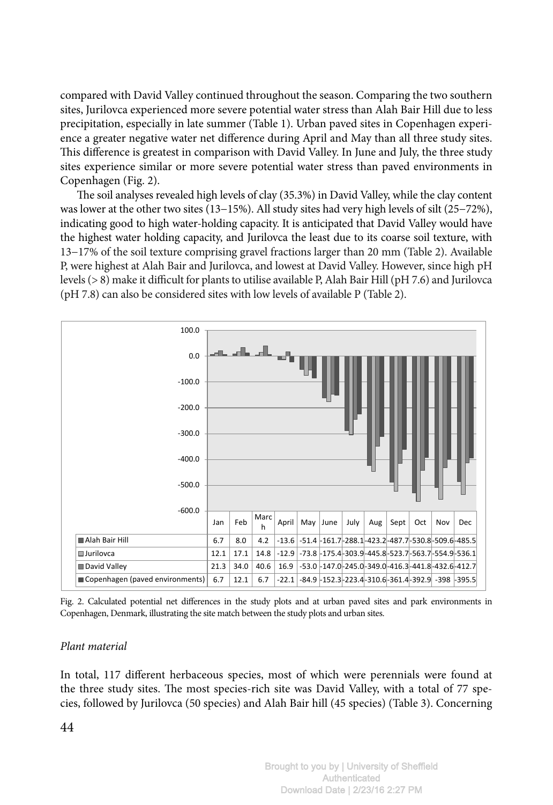compared with David Valley continued throughout the season. Comparing the two southern sites, Jurilovca experienced more severe potential water stress than Alah Bair Hill due to less precipitation, especially in late summer (Table 1). Urban paved sites in Copenhagen experience a greater negative water net difference during April and May than all three study sites. This difference is greatest in comparison with David Valley. In June and July, the three study sites experience similar or more severe potential water stress than paved environments in Copenhagen (Fig. 2).

The soil analyses revealed high levels of clay (35.3%) in David Valley, while the clay content was lower at the other two sites (13−15%). All study sites had very high levels of silt (25−72%), indicating good to high water-holding capacity. It is anticipated that David Valley would have the highest water holding capacity, and Jurilovca the least due to its coarse soil texture, with 13−17% of the soil texture comprising gravel fractions larger than 20 mm (Table 2). Available P, were highest at Alah Bair and Jurilovca, and lowest at David Valley. However, since high pH levels (> 8) make it difficult for plants to utilise available P, Alah Bair Hill (pH 7.6) and Jurilovca (pH 7.8) can also be considered sites with low levels of available P (Table 2).



Fig. 2. Calculated potential net differences in the study plots and at urban paved sites and park environments in Copenhagen, Denmark, illustrating the site match between the study plots and urban sites.

## *Plant material*

In total, 117 different herbaceous species, most of which were perennials were found at the three study sites. The most species-rich site was David Valley, with a total of 77 species, followed by Jurilovca (50 species) and Alah Bair hill (45 species) (Table 3). Concerning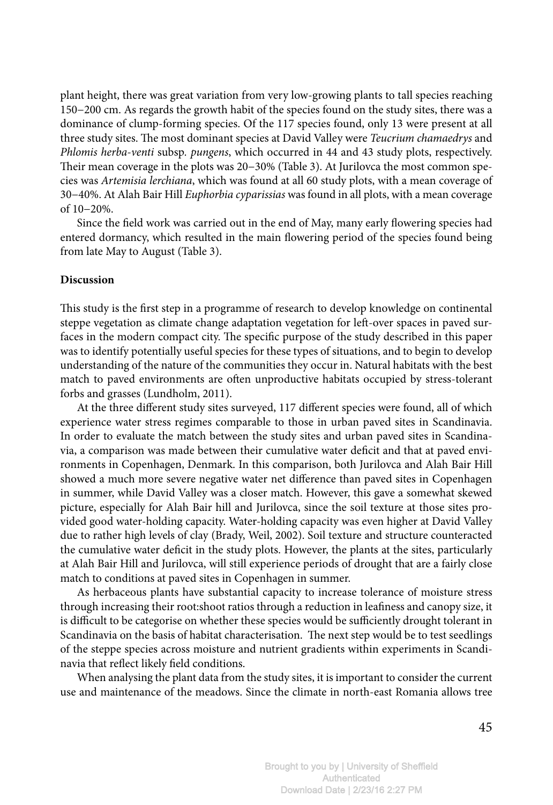plant height, there was great variation from very low-growing plants to tall species reaching 150−200 cm. As regards the growth habit of the species found on the study sites, there was a dominance of clump-forming species. Of the 117 species found, only 13 were present at all three study sites. The most dominant species at David Valley were *Teucrium chamaedrys* and *Phlomis herba-venti* subsp*. pungens*, which occurred in 44 and 43 study plots, respectively. Their mean coverage in the plots was 20−30% (Table 3). At Jurilovca the most common species was *Artemisia lerchiana*, which was found at all 60 study plots, with a mean coverage of 30−40%. At Alah Bair Hill *Euphorbia cyparissias* was found in all plots, with a mean coverage of 10−20%.

Since the field work was carried out in the end of May, many early flowering species had entered dormancy, which resulted in the main flowering period of the species found being from late May to August (Table 3).

## **Discussion**

This study is the first step in a programme of research to develop knowledge on continental steppe vegetation as climate change adaptation vegetation for left-over spaces in paved surfaces in the modern compact city. The specific purpose of the study described in this paper was to identify potentially useful species for these types of situations, and to begin to develop understanding of the nature of the communities they occur in. Natural habitats with the best match to paved environments are often unproductive habitats occupied by stress-tolerant forbs and grasses (Lundholm, 2011).

At the three different study sites surveyed, 117 different species were found, all of which experience water stress regimes comparable to those in urban paved sites in Scandinavia. In order to evaluate the match between the study sites and urban paved sites in Scandinavia, a comparison was made between their cumulative water deficit and that at paved environments in Copenhagen, Denmark. In this comparison, both Jurilovca and Alah Bair Hill showed a much more severe negative water net difference than paved sites in Copenhagen in summer, while David Valley was a closer match. However, this gave a somewhat skewed picture, especially for Alah Bair hill and Jurilovca, since the soil texture at those sites provided good water-holding capacity. Water-holding capacity was even higher at David Valley due to rather high levels of clay (Brady, Weil, 2002). Soil texture and structure counteracted the cumulative water deficit in the study plots. However, the plants at the sites, particularly at Alah Bair Hill and Jurilovca, will still experience periods of drought that are a fairly close match to conditions at paved sites in Copenhagen in summer.

As herbaceous plants have substantial capacity to increase tolerance of moisture stress through increasing their root:shoot ratios through a reduction in leafiness and canopy size, it is difficult to be categorise on whether these species would be sufficiently drought tolerant in Scandinavia on the basis of habitat characterisation. The next step would be to test seedlings of the steppe species across moisture and nutrient gradients within experiments in Scandinavia that reflect likely field conditions.

When analysing the plant data from the study sites, it is important to consider the current use and maintenance of the meadows. Since the climate in north-east Romania allows tree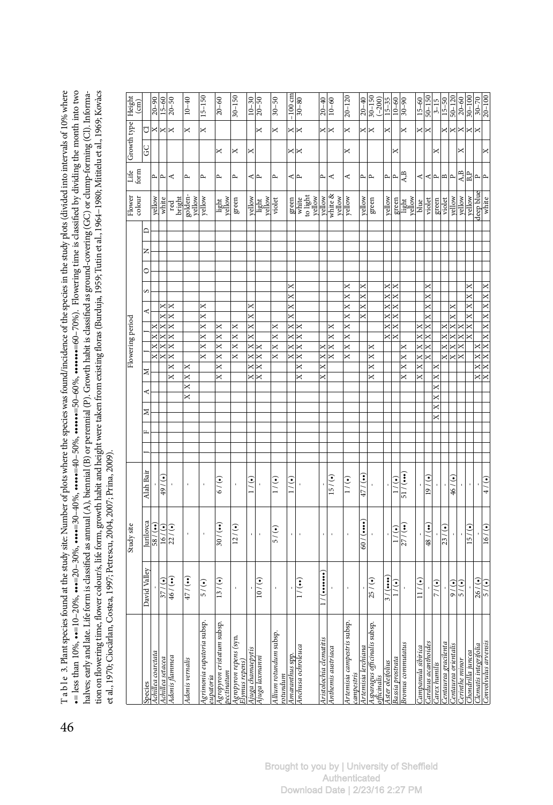Table 3. Plant species found at the study site: Number of plots where the species was found/incidence of the species in the study plots (divided into intervals of 10% where halves early and late. Life form is classified as annual (A), biennial (B) or perennial (P). Growth habit is classified as ground-covering (GC) or clump-forming (Cl). Informa-<br>tion on flowering time, flower colour/s, life  $\pm$  T a b l e 3. Plant species found at the study site: Number of plots where the species was found/incidence of the species in the study plots (divided into intervals of 10% where  $\infty$ = less than 10%, ...=10-20%, ....=20-30%, .....=30-40%, .....=40-50%, ......=50-60%, .......=60-70%). Flowering time is classified by dividing the month into two tion on flowering time, flower colour/s, life form, growth habit and height were taken from existing floras (Burduja, 1959; Tutin et al., 1964−1980; Mititelu et al., 1969; Kovàcs •= less than 10%, ••=10–20%, •••=20–30%, ••••=30–40%, •••••=40–50%, ••••••=50–60%, •••••••=60–70%). Flowering time is classified by dividing the month into two halves; early and late. Life form is classified as annual (A), biennial (B) or perennial (P). Growth habit is classified as ground-covering (GC) or clump-forming (Cl). Informaet al., 1970; Ciocârlan, Costea, 1997; Petrescu, 2004, 2007; Prina, 2009). et al., 1970; Ciocârlan, Costea, 1997; Petrescu, 2004, 2007; Prina, 2009).

| Growth type Height<br>(cm) |              | $20 - 90$               | $15 - 60$                           | $20 - 50$        | $10 - 40$           | $15 - 150$                              | $20 - 60$                                       | 30-150                                  | $10 - 30$                    | $20 - 50$               | $30 - 50$                          |                         | $\frac{-100 \text{ cm}}{30 - 80}$                                                        |                    | $20 - 40$                   | $10 - 60$               | $20 - 120$                                |                     | $\frac{20-40}{30-150}$<br>$(-200)$              | $15 - 35$          | $10 - 60$        | $30 - 90$                       | $15 - 60$               | $50 - 150$          | $3 - 15$                | $15 - 50$            | $50 - 120$               | $20 - 60$               | $30 - 100$          | $30 - 70$                                                                                                                         | $\frac{20-100}{20}$  |
|----------------------------|--------------|-------------------------|-------------------------------------|------------------|---------------------|-----------------------------------------|-------------------------------------------------|-----------------------------------------|------------------------------|-------------------------|------------------------------------|-------------------------|------------------------------------------------------------------------------------------|--------------------|-----------------------------|-------------------------|-------------------------------------------|---------------------|-------------------------------------------------|--------------------|------------------|---------------------------------|-------------------------|---------------------|-------------------------|----------------------|--------------------------|-------------------------|---------------------|-----------------------------------------------------------------------------------------------------------------------------------|----------------------|
|                            | ℧            | ×                       | ×                                   | ×                | ×                   | $\times$                                |                                                 |                                         |                              | ×                       | ×                                  | ×                       | $\times$                                                                                 |                    | ×                           | ×                       | ×                                         | ×                   | ×                                               | ×                  |                  | ×                               | ×                       | ×                   |                         |                      | ×                        | ×                       | ×                   |                                                                                                                                   |                      |
|                            | G            |                         |                                     |                  |                     |                                         | ×                                               | ×                                       | ×                            |                         |                                    | ×                       | ×                                                                                        |                    |                             |                         | ×                                         |                     |                                                 |                    | ×                |                                 |                         |                     | ×                       |                      |                          |                         |                     |                                                                                                                                   | ×                    |
| Life<br>form               |              | д                       | $\sim$                              | ₹                | $\mathbf{r}$        | <b>PH</b>                               | $\mathbf{r}$                                    | $\sim$                                  | ⋖                            | ⊾                       | $\sim$                             | ⋖                       | $\sim$                                                                                   |                    | ρ.                          | ∢                       | ≺                                         | Δ                   | $\mathbf{r}$                                    | p,                 | ρ                | A,B                             | ₫                       | ⋖                   | Δ                       |                      |                          | A,B                     | В,Р                 | <b>p</b>                                                                                                                          | $\overline{a}$       |
| Flower<br>colour           |              | yellow                  | white                               | red<br>bright    | golden-<br>yellow   | yellow                                  | light<br>vellow                                 | green                                   | vellow                       | yellow<br>light         | violet                             | green                   | white                                                                                    | to light<br>yellow | vellow                      | white &<br>vellow       | yellow                                    | yellow              | green                                           | yellow             | green            | light<br>vellow                 | blue                    | violet              | green                   | violet               | vellow                   | vellow                  | yellow              | deep blue                                                                                                                         | white                |
|                            | ≏            |                         |                                     |                  |                     |                                         |                                                 |                                         |                              |                         |                                    |                         |                                                                                          |                    |                             |                         |                                           |                     |                                                 |                    |                  |                                 |                         |                     |                         |                      |                          |                         |                     |                                                                                                                                   |                      |
|                            | z            |                         |                                     |                  |                     |                                         |                                                 |                                         |                              |                         |                                    |                         |                                                                                          |                    |                             |                         |                                           |                     |                                                 |                    |                  |                                 |                         |                     |                         |                      |                          |                         |                     |                                                                                                                                   |                      |
|                            |              |                         |                                     |                  |                     |                                         |                                                 |                                         |                              |                         |                                    |                         |                                                                                          |                    |                             |                         |                                           |                     |                                                 |                    |                  |                                 |                         |                     |                         |                      |                          |                         |                     |                                                                                                                                   |                      |
|                            | $\circ$      |                         |                                     |                  |                     |                                         |                                                 |                                         |                              |                         |                                    |                         |                                                                                          |                    |                             |                         |                                           |                     |                                                 |                    |                  |                                 |                         |                     |                         |                      |                          |                         |                     |                                                                                                                                   |                      |
|                            | S            |                         |                                     |                  |                     |                                         |                                                 |                                         |                              |                         |                                    | $\overline{\mathbf{x}}$ |                                                                                          |                    |                             |                         | $X$   $X$   $X$   $X$   $X$   $X$   $X$   | ×                   |                                                 |                    | ×∣×              |                                 |                         | ×                   |                         |                      |                          |                         | $X$ $X$ $X$ $X$ $X$ | $\begin{array}{c c c c c c c c c} \hline X & X & X & X & X & X & X \\ \hline X & X & X & X & X & X & X & X \\ \hline \end{array}$ |                      |
|                            | ₫            |                         | ×                                   | ×                |                     |                                         |                                                 |                                         | ×                            |                         |                                    | $_{\times}$             |                                                                                          |                    |                             |                         |                                           | X X                 |                                                 | $\frac{x}{x}$      |                  |                                 |                         | $\frac{X}{X}$       |                         |                      | ×                        |                         |                     |                                                                                                                                   |                      |
|                            |              |                         |                                     | X X X X          |                     | X[X X X X]                              |                                                 |                                         | $\frac{X}{X}$                |                         |                                    | ×                       |                                                                                          |                    |                             |                         |                                           |                     |                                                 | $X X \overline{X}$ |                  |                                 |                         | X X X X             |                         |                      |                          |                         |                     |                                                                                                                                   |                      |
| Flowering period           |              | $\times$                |                                     |                  |                     |                                         | ×                                               | ×                                       |                              |                         | X X X X                            |                         | $\begin{array}{c c c c c} & & X & X & X \\ \hline & X & X & X & X \\ \hline \end{array}$ |                    |                             | $X$ $X$ $X$             |                                           |                     |                                                 |                    |                  |                                 | ×                       |                     |                         | ×                    | $X$ $ X $ $X$ $ X $      |                         |                     |                                                                                                                                   |                      |
|                            |              | $\overline{\mathbf{x}}$ |                                     |                  |                     |                                         | $\frac{1}{x}$                                   | $x \mid x \mid x$                       | $\frac{x}{x}$                | $\times$                |                                    |                         |                                                                                          |                    | $\Join$                     |                         |                                           |                     | ×                                               |                    |                  | ×                               | $\vert$ X $\vert$       |                     |                         | $\frac{X}{X}$        |                          | $\vert$ X $\vert$       |                     |                                                                                                                                   |                      |
|                            |              | $\overline{\mathsf{x}}$ | $\overline{\times}$                 |                  |                     |                                         | $\overline{\mathbf{x}}$<br>$\times$             |                                         |                              | $\overline{\mathsf{x}}$ |                                    |                         |                                                                                          |                    | $\times$<br>$_{\mathsf{x}}$ | $\overline{\mathsf{x}}$ |                                           |                     | $\overline{\mathbf{x}}$<br>$\times$             |                    |                  | ×<br>$\overline{\mathsf{x}}$    | $\overline{\mathbf{x}}$ |                     |                         | $_{\times}$          |                          | $\overline{\mathsf{x}}$ |                     |                                                                                                                                   |                      |
|                            | z            |                         |                                     | ×<br>×           | ×                   |                                         | ×                                               |                                         | $\overline{\mathbf{x}}$<br>× | X X                     |                                    |                         |                                                                                          |                    | ×                           |                         |                                           |                     | $\times$                                        |                    |                  | ×                               | ×<br>×                  |                     | ×                       |                      |                          |                         |                     |                                                                                                                                   |                      |
|                            | ₫            |                         |                                     |                  | X X X               |                                         |                                                 |                                         |                              |                         |                                    |                         |                                                                                          |                    |                             |                         |                                           |                     |                                                 |                    |                  |                                 |                         |                     | $\overline{\mathbf{x}}$ |                      |                          |                         |                     |                                                                                                                                   |                      |
|                            |              |                         |                                     |                  |                     |                                         |                                                 |                                         |                              |                         |                                    |                         |                                                                                          |                    |                             |                         |                                           |                     |                                                 |                    |                  |                                 |                         |                     | $_{\times}$             |                      |                          |                         |                     |                                                                                                                                   |                      |
|                            | z            |                         |                                     |                  |                     |                                         |                                                 |                                         |                              |                         |                                    |                         |                                                                                          |                    |                             |                         |                                           |                     |                                                 |                    |                  |                                 |                         |                     | $\frac{X}{X}$           |                      |                          |                         |                     |                                                                                                                                   |                      |
|                            |              |                         |                                     |                  |                     |                                         |                                                 |                                         |                              |                         |                                    |                         |                                                                                          |                    |                             |                         |                                           |                     |                                                 |                    |                  |                                 |                         |                     |                         |                      |                          |                         |                     |                                                                                                                                   |                      |
|                            |              |                         |                                     |                  |                     |                                         |                                                 |                                         |                              |                         |                                    |                         |                                                                                          |                    |                             |                         |                                           |                     |                                                 |                    |                  |                                 |                         |                     |                         |                      |                          |                         |                     |                                                                                                                                   |                      |
|                            |              |                         |                                     |                  |                     |                                         |                                                 |                                         |                              |                         |                                    |                         |                                                                                          |                    |                             |                         |                                           |                     |                                                 |                    |                  |                                 |                         |                     |                         |                      |                          |                         |                     |                                                                                                                                   |                      |
|                            | Alah Bair    |                         | $\left( \bullet \right)$ ( $\Theta$ |                  |                     |                                         | $6/$ (•)                                        |                                         | $\frac{1}{1}$                |                         | 1/(•)                              | $\frac{1}{2}$           |                                                                                          |                    |                             | $15/(\bullet)$          | $\frac{1}{2}$                             | 47 / (••)           |                                                 |                    | 1/(6)            | 51/()                           |                         | $\frac{19}{2}$      |                         |                      | $\left(\bullet\right)/9$ |                         |                     |                                                                                                                                   | $4/(\bullet)$        |
| Study site                 | Jurilovca    | $\frac{1}{587}$ ()      | $16/(\bullet)$                      | $\frac{22}{(•)}$ |                     |                                         | 30/()                                           | $12/(\bullet)$                          |                              |                         | $\frac{2}{5}$ (•)                  |                         |                                                                                          |                    |                             | $\bar{1}$               |                                           | ( <b>……</b> ) / 69  |                                                 |                    | $\frac{1}{1}$    | 27/()                           |                         | 48 / ()             |                         | 23/(•)               |                          |                         | 15/(•)              |                                                                                                                                   | 16/(•)               |
|                            | David Valley |                         | $37/$ (•)                           | 46/()            | $(•) / L_{\bar{F}}$ | $5/(\bullet)$                           | 13/(6)                                          | ï                                       |                              | $10/$ ( $\bullet$ )     | ï                                  |                         | $\frac{1}{1}$ (.)                                                                        |                    |                             |                         |                                           |                     | $25/(\bullet)$                                  | 3 / ()             | $\ddot{\cdot}$   |                                 | $\frac{1}{11}$          |                     | $7/$ ( $\bullet$ )      |                      | $\frac{1}{2}$            | $\frac{1}{5}$ /(•)      |                     | $26/(\bullet)$                                                                                                                    | $\frac{1}{51(1)}$    |
|                            | Species      | Achillea coarctata      | Achillea setacea                    | Adonis flammea   | Adonis vernalis     | Agrimonia eupatoria subsp.<br>zupatoria | Agropyron cristatum subsp.<br><b>pectinatum</b> | Agropyron repens (syn.<br>lymus repens) | Ajuga chamaepytis            | Ajuga laxmanni          | Allium rotundum subsp.<br>rotundum | Amaranthus spp.         | Anchusa ochroleuca                                                                       |                    | Aristolochia clematitis     | Anthemis austriaca      | Artemisia campestris subsp.<br>campestris | Artemisia lerchiana | Asparagus officinalis subsp.<br><b>Mcinalis</b> | Aster oleifolius   | Bassia prostrata | <i><b>Sromus</b></i> commutatus | Campanula sibirica      | Carduus acanthoides | Carex humilis           | Centaurea gracilenta | Centaurea orientalis     | Cerinthe minor          | Chondrilla juncea   | Clematis integrifolia                                                                                                             | Convolvulus arvensis |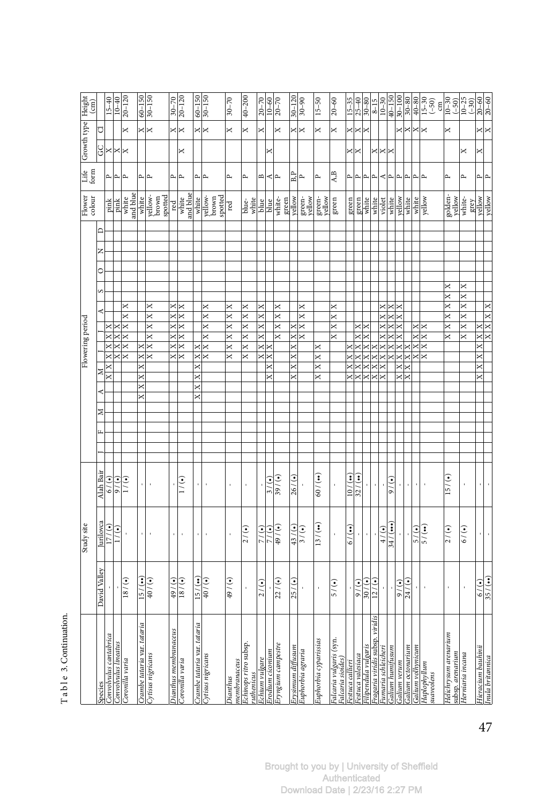| د |
|---|
|   |
| ದ |
|   |

| Growth type Height<br>$\overline{(cm)}$ |                  | $15 - 40$              | $10 - 40$            | $20 - 120$        |          | $\frac{60 - 150}{30 - 150}$                      | $30 - 70$             | $20 - 120$        | $60 - 150$                  | $30 - 150$                  | $30 - 70$                | $40 - 200$                          | $20 - 70$      | $10 - 60$               | $\frac{20-70}{2}$   | $30 - 120$          | $30 - 90$         | $15 - 50$             | $20 - 60$                                    | $15 - 35$         | $25 - 40$               | $30 - 80$            | $8 - 15$                        | $10 - 30$           | $40 - 150$       | $30 - 100$     | $30 - 80$         | $40 - 80$               | $($ -50 $(-50)$<br>$\epsilon$ m | $10 - 30$<br>$(-50)$                      | $10 - 25$<br>$(-30)$ | $20 - 60$<br>$20 - 60$                 |   |
|-----------------------------------------|------------------|------------------------|----------------------|-------------------|----------|--------------------------------------------------|-----------------------|-------------------|-----------------------------|-----------------------------|--------------------------|-------------------------------------|----------------|-------------------------|---------------------|---------------------|-------------------|-----------------------|----------------------------------------------|-------------------|-------------------------|----------------------|---------------------------------|---------------------|------------------|----------------|-------------------|-------------------------|---------------------------------|-------------------------------------------|----------------------|----------------------------------------|---|
|                                         | ⊽                |                        |                      | ×                 |          | ××                                               | ×                     | ×                 | ×                           | ×                           | $\times$                 | ×                                   | ×              |                         | ×                   | ×                   | ×                 | ×                     | ×                                            | ×                 | ×                       |                      |                                 |                     |                  | ×              | ×                 | ×                       | ×                               | ×                                         |                      | ×                                      | × |
|                                         | S                | ×                      | ×                    | ×                 |          |                                                  |                       | ×                 |                             |                             |                          |                                     |                |                         |                     |                     |                   |                       |                                              | ×                 | ×                       |                      | ×                               | ×                   |                  |                |                   |                         |                                 |                                           | ×                    | ×                                      |   |
| Life<br>form                            |                  | $\mathbf{r}$           | $\sim$               | ρ.                | д        | $\sim$                                           | $\sim$                | $\sim$            | $\sim$                      | $\sim$                      | $\mathbf{r}$             | $\mathbf{r}$                        | $\overline{a}$ | ≺                       | $\sim$              | В,Р                 | p,                | $\sim$                | A,B                                          | <u>م</u>          | $\sim$                  |                      | d.                              | ≺                   | $\sim$           |                | ρ.                | Δ.                      | $\sim$                          | $\overline{\mathbf{r}}$                   | $\mathbf{r}$         | $\mathbf{r}$<br>$\sim$                 |   |
| Flower<br>colour                        |                  | pink                   | pink                 | and blue<br>white | white    | yellow-<br>brown<br>spotted                      | red                   | and blue<br>white | white                       | yellow-<br>brown<br>spotted | red                      | blue-<br>white                      | blue           | blue                    | white-<br>green     | vellow              | green-<br>yellow  | green-<br>vellow      | green                                        | green             | green                   | white                | white                           | violet              | white            | vellow         | white             | white                   | yellow                          | golden-<br>vellow                         | white-<br>grey       | yellow<br>yellow                       |   |
|                                         | $\triangleright$ |                        |                      |                   |          |                                                  |                       |                   |                             |                             |                          |                                     |                |                         |                     |                     |                   |                       |                                              |                   |                         |                      |                                 |                     |                  |                |                   |                         |                                 |                                           |                      |                                        |   |
|                                         |                  |                        |                      |                   |          |                                                  |                       |                   |                             |                             |                          |                                     |                |                         |                     |                     |                   |                       |                                              |                   |                         |                      |                                 |                     |                  |                |                   |                         |                                 |                                           |                      |                                        |   |
|                                         | z                |                        |                      |                   |          |                                                  |                       |                   |                             |                             |                          |                                     |                |                         |                     |                     |                   |                       |                                              |                   |                         |                      |                                 |                     |                  |                |                   |                         |                                 |                                           |                      |                                        |   |
|                                         |                  |                        |                      |                   |          |                                                  |                       |                   |                             |                             |                          |                                     |                |                         |                     |                     |                   |                       |                                              |                   |                         |                      |                                 |                     |                  |                |                   |                         |                                 |                                           |                      |                                        |   |
|                                         | $\circ$          |                        |                      |                   |          |                                                  |                       |                   |                             |                             |                          |                                     |                |                         |                     |                     |                   |                       |                                              |                   |                         |                      |                                 |                     |                  |                |                   |                         |                                 |                                           |                      |                                        |   |
|                                         |                  |                        |                      |                   |          |                                                  |                       |                   |                             |                             |                          |                                     |                |                         |                     |                     |                   |                       |                                              |                   |                         |                      |                                 |                     |                  |                |                   |                         |                                 |                                           |                      |                                        |   |
|                                         | U.               |                        |                      |                   |          |                                                  |                       |                   |                             |                             |                          |                                     |                |                         |                     |                     |                   |                       |                                              |                   |                         |                      |                                 |                     |                  |                |                   |                         |                                 | ×                                         | ×                    |                                        |   |
|                                         |                  |                        |                      |                   |          |                                                  |                       |                   |                             |                             |                          |                                     |                |                         |                     |                     |                   |                       |                                              |                   |                         |                      |                                 |                     |                  |                |                   |                         |                                 |                                           |                      |                                        |   |
|                                         |                  |                        |                      | ×                 |          | ×                                                |                       | $\times$          |                             | ×                           | ×                        | $\times$                            | ×              |                         | ×                   |                     | ×                 |                       |                                              |                   |                         |                      |                                 | ×                   | $\Join$          |                |                   |                         |                                 | $X$ $X$ $X$ $X$ $X$                       | X[X X X]             |                                        |   |
|                                         |                  |                        |                      |                   |          |                                                  | ×                     |                   |                             |                             |                          |                                     | ×              |                         |                     |                     |                   |                       | $X$ $X$ $X$ $X$                              |                   |                         |                      |                                 | ×                   |                  |                |                   |                         |                                 |                                           |                      | X[X X]                                 |   |
|                                         |                  |                        |                      |                   |          |                                                  | $\times$              |                   |                             |                             | $X$ $X$ $X$ $X$          |                                     |                |                         | X X X               |                     | $\frac{X}{X}$     |                       |                                              |                   |                         |                      |                                 |                     |                  |                |                   |                         |                                 |                                           |                      |                                        |   |
|                                         |                  | ×                      | ×                    |                   |          |                                                  |                       |                   |                             |                             |                          |                                     | $\frac{X}{X}$  |                         |                     | ×                   |                   |                       |                                              |                   | ×                       | ×                    |                                 | ×                   |                  |                |                   | ×                       |                                 |                                           |                      |                                        |   |
|                                         |                  |                        |                      |                   |          |                                                  |                       |                   |                             |                             |                          |                                     |                |                         |                     | ×                   |                   |                       |                                              |                   | $\times$                |                      |                                 |                     |                  |                |                   | $\times$                |                                 |                                           |                      |                                        |   |
| Flowering period                        |                  |                        | $X[X \overline{X}]$  | X[X X X]          |          | X X X X X                                        | ×                     | X X X X           |                             | X X X X X                   |                          | $X$ $X$ $X$ $X$ $X$                 | $\frac{X}{X}$  |                         |                     | ×                   |                   | ×                     |                                              | ×                 |                         |                      |                                 | $\frac{X}{X}$       |                  | $\frac{X}{X}$  |                   | $\times$                | X X X X                         |                                           |                      | X X X                                  |   |
|                                         |                  |                        |                      |                   |          |                                                  | ×                     |                   | ×                           |                             | $\overline{\mathsf{x}}$  |                                     |                |                         |                     | ×                   |                   | ×                     |                                              | ×                 |                         |                      |                                 |                     |                  |                |                   | $\overline{\mathsf{x}}$ |                                 |                                           |                      |                                        |   |
|                                         |                  | X X X X X              |                      |                   |          |                                                  |                       |                   |                             |                             |                          |                                     |                | X X                     |                     | $\times$            |                   | ×                     |                                              | ×                 | X X X                   | X X X                | X X X                           |                     |                  |                |                   |                         |                                 |                                           |                      | $\overline{\mathbf{x}}$                |   |
|                                         | Σ                |                        |                      |                   | ×        |                                                  |                       |                   | ×                           |                             |                          |                                     |                | $\overline{\mathbf{x}}$ |                     | ×                   |                   | $\times$              |                                              |                   | $\overline{\mathbf{x}}$ |                      |                                 |                     |                  |                |                   |                         |                                 |                                           |                      |                                        |   |
|                                         |                  |                        |                      |                   | ×        |                                                  |                       |                   | ×                           |                             |                          |                                     |                |                         |                     |                     |                   |                       |                                              |                   |                         |                      |                                 |                     |                  |                |                   |                         |                                 |                                           |                      |                                        |   |
|                                         |                  |                        |                      |                   | $\times$ |                                                  |                       |                   |                             |                             |                          |                                     |                |                         |                     |                     |                   |                       |                                              |                   |                         |                      |                                 |                     |                  |                |                   |                         |                                 |                                           |                      |                                        |   |
|                                         |                  |                        |                      |                   |          |                                                  |                       |                   |                             |                             |                          |                                     |                |                         |                     |                     |                   |                       |                                              |                   |                         |                      |                                 |                     |                  |                |                   |                         |                                 |                                           |                      |                                        |   |
|                                         | Σ                |                        |                      |                   |          |                                                  |                       |                   |                             |                             |                          |                                     |                |                         |                     |                     |                   |                       |                                              |                   |                         |                      |                                 |                     |                  |                |                   |                         |                                 |                                           |                      |                                        |   |
|                                         |                  |                        |                      |                   |          |                                                  |                       |                   |                             |                             |                          |                                     |                |                         |                     |                     |                   |                       |                                              |                   |                         |                      |                                 |                     |                  |                |                   |                         |                                 |                                           |                      |                                        |   |
|                                         |                  |                        |                      |                   |          |                                                  |                       |                   |                             |                             |                          |                                     |                |                         |                     |                     |                   |                       |                                              |                   |                         |                      |                                 |                     |                  |                |                   |                         |                                 |                                           |                      |                                        |   |
|                                         |                  |                        |                      |                   |          |                                                  |                       |                   |                             |                             |                          |                                     |                |                         |                     |                     |                   |                       |                                              |                   |                         |                      |                                 |                     |                  |                |                   |                         |                                 |                                           |                      |                                        |   |
|                                         |                  |                        |                      |                   |          |                                                  |                       |                   |                             |                             |                          |                                     |                |                         |                     |                     |                   |                       |                                              |                   |                         |                      |                                 |                     |                  |                |                   |                         |                                 |                                           |                      |                                        |   |
|                                         |                  |                        |                      |                   |          |                                                  |                       |                   |                             |                             |                          |                                     |                |                         |                     |                     |                   |                       |                                              |                   |                         |                      |                                 |                     |                  |                |                   |                         |                                 |                                           |                      |                                        |   |
|                                         | Alah Bair        | $\frac{6}{6}$          | 9/(6)                | $\frac{1}{2}$     |          |                                                  |                       | 1/(c)             |                             |                             | ï                        |                                     |                | 3/(6)                   | 39/(•)              | $26/$ ( $\bullet$ ) |                   | $60/$ ( $\bullet$ )   | ï                                            | $10/$ ( $\cdot$ ) | 32/()                   |                      | $\overline{\phantom{a}}$        |                     | 9/(•)            |                | ł,                | ı,                      |                                 | $\overline{15}/$ (•)                      |                      |                                        |   |
| Study site                              | Jurilovca        | $17/(\bullet)$         | $\frac{1}{2}$        |                   |          |                                                  |                       |                   |                             |                             | ï                        | 2/(6)                               | $7/$ (•)       | $\frac{1}{7}$ (•)       | $49/$ ( $\bullet$ ) | 43 / (•)            | 3/(6)             | 13/()                 | ï                                            | $\frac{1}{6}$     |                         | ï                    |                                 | 4/(•)               | $34/$ (…)        |                |                   | 5/(•)                   | $5/$ (•)                        | 2/(•)                                     | $6/$ (•)             |                                        |   |
|                                         |                  |                        |                      |                   |          |                                                  |                       |                   |                             |                             |                          |                                     |                |                         |                     |                     |                   |                       |                                              |                   |                         |                      |                                 |                     |                  |                |                   |                         |                                 |                                           |                      |                                        |   |
|                                         | David Valley     |                        |                      | $18/(\bullet)$    | 15 / ()  | $(•)$ (+)                                        | (•)(6)                | $18/(\bullet)$    | $15/$ (••)                  | $(\bullet)$ / 0+            | 49 / (•)                 |                                     | 2/(6)          |                         | $22/$ (•)           | $25/(\bullet)$      |                   | ï                     | $5/(\bullet)$                                |                   | $9/$ ( $\bullet$ )      | $30/$ ( $\bullet$ )  | $12/(\bullet)$                  |                     |                  | $\frac{9}{10}$ | $\sqrt{24}/($ •)  |                         |                                 | ł.                                        |                      | 35/()<br>$\frac{1}{6}$                 |   |
|                                         | Species          | Convolvulus cantabrica | Convolvulus lineatus | Coronilla varia   |          | Crambe tataria var. tataria<br>Cytisus nigricans | Dianthus membranaceus | Coronilla varia   | Crambe tataria var. tataria | Cytisus nigricans           | membranaceus<br>Dianthus | Echinops ritro subsp.<br>ruthenicus | Echium vulgare | Erodium ciconium        | Eryngium campestre  | Erysimum diffusum   | Euphorbia agraria | Euphorbia cyparissias | Falcaria vulgaris (syn.<br>Falcaria sioides) | Festuca callieri  | Festuca valesiaca       | Filipendula vulgaris | Fragaria viridis subsp. viridis | Fumaria schleicheri | Galium humifusum | Galium verum   | Galium octonarium | Galium volhynicum       | Haplophyllum<br>suaveolens      | Helichrysum arenarium<br>subsp. arenarium | Herniaria incana     | Hieracium bauhinii<br>Inula britannica |   |

47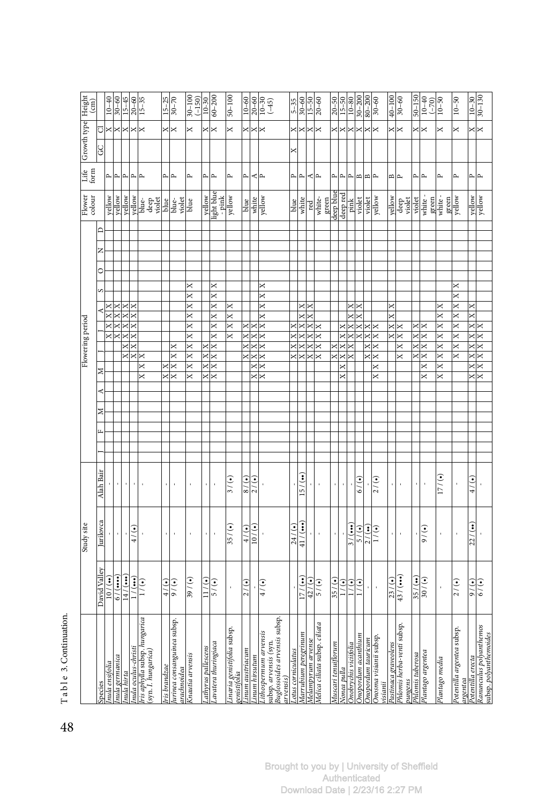| Ë  |
|----|
|    |
| ١۶ |

|                                                                                |                                            | Study site               |                            |   |                                     | Flowering period                                                                                            |                                       |                                     |                                    |         |   | Flower                  | Life<br>form<br>colour |    | Growth type  | $\left  \frac{\text{Height}}{\text{(cm)}} \right $ |
|--------------------------------------------------------------------------------|--------------------------------------------|--------------------------|----------------------------|---|-------------------------------------|-------------------------------------------------------------------------------------------------------------|---------------------------------------|-------------------------------------|------------------------------------|---------|---|-------------------------|------------------------|----|--------------|----------------------------------------------------|
|                                                                                | David Valley                               | Jurilovca                | Alah Bair                  | ≍ | Σ                                   |                                                                                                             |                                       | ₫                                   | S                                  | $\circ$ | z | ≏                       |                        | GC | U            |                                                    |
|                                                                                | $10/$ ( $\cdot$ )                          |                          |                            |   |                                     |                                                                                                             | $\times$<br>$_{\times}$               | ×<br>×                              |                                    |         |   | yellow                  | p.,                    |    | $\mathsf{x}$ | $10 - 40$                                          |
|                                                                                | $($ ……)                                    | ť.                       | ł,                         |   |                                     |                                                                                                             | $\overline{\mathsf{x}}$<br>$\times$   | ×<br>×                              |                                    |         |   |                         | $\sim$<br>yellow       |    | ×            | $30 - 60$                                          |
|                                                                                | $\left(\bullet\right)\left(\bullet\right)$ |                          | $\mathbf{r}$               |   |                                     | ×<br>$\times$                                                                                               | $\times$                              | ∣≍<br> X X                          |                                    |         |   | vellow                  | പ                      |    | ×            | $15 - 45$                                          |
| Inula oculus-christi                                                           | $\mathbf{\hat{\mathbf{\Xi}}}$              | $\frac{1}{4}$            | $\bar{1}$                  |   |                                     | $\frac{X}{X}$                                                                                               |                                       | ×<br>$\frac{X}{X}$                  |                                    |         |   | yellow                  | $\mathbf{r}$           |    | ×∣×          | $20 - 60$                                          |
| Iris aphylla subsp. hungarica<br>(syn. I. hungarica)                           | $\frac{1}{2}$                              |                          | ï                          |   | $\overline{\mathbf{x}}$<br>×        | ×                                                                                                           |                                       |                                     |                                    |         |   | blue-<br>violet<br>deep | $\sim$                 |    |              | $15 - 35$                                          |
|                                                                                | $\frac{1}{4}$ ( • )                        |                          |                            |   | ×<br>$\times$                       |                                                                                                             |                                       |                                     |                                    |         |   | blue                    | p.,                    |    |              |                                                    |
| lurinea consanguinea subsp.                                                    | $\frac{6}{10}$                             | ï                        |                            |   | $\overline{x}$<br>$\times$          | ×<br>$\overline{\times}$                                                                                    |                                       |                                     |                                    |         |   | blue-<br>violet         | $\sim$                 |    | ×∣×          | $\frac{15-25}{30-70}$                              |
| Knautia arvensis                                                               | $\frac{1}{397}$ (•)                        | í.                       |                            |   | ×<br>×                              | $\times$<br>×                                                                                               | $\times$<br>$\overline{\mathsf{x}}$   | $_{\times}$<br>$\times$             | ×<br>$\times$                      |         |   | blue                    | a                      |    | ×            | $30-100$<br>(-150)                                 |
| Lathyrus pallescens                                                            | $\frac{1}{11}$                             |                          | ï                          |   |                                     |                                                                                                             |                                       |                                     |                                    |         |   | yellow                  |                        |    |              | $10 - 30$                                          |
| Lavatera thuringiaca                                                           | 5/(6)                                      | ł,                       | ł,                         |   | $\frac{X}{X}$                       | $\times$<br>$\overline{\mathbf{x}}$                                                                         | $\times$<br>$\overline{\mathsf{x}}$   | $\overline{\mathsf{x}}$<br>$\times$ | ×<br>$\overline{\mathbf{x}}$       |         |   | $-pink$                 | حاح<br>light blue      |    | ×l×          | $60 - 200$                                         |
| Linaria genistifolia subsp.<br>genistifolia                                    | ï                                          | 35/(6)                   | 3/(c)                      |   |                                     |                                                                                                             | ×<br>×                                | ×<br>×                              |                                    |         |   | yellow                  | $\mathbf{r}$           |    | ×            | $50 - 100$                                         |
| inum austriacum.                                                               | 2/(•)                                      | $\frac{1}{4}$            | 8/(6)                      |   |                                     | $\times$                                                                                                    | ×<br>×                                |                                     |                                    |         |   | blue                    | $\sim$                 |    | ×            | $10 - 60$                                          |
|                                                                                |                                            | $\overline{10/}$ (•)     | 2/(6)                      |   | ×                                   | $\begin{array}{ c c c }\hline X & X & X & X \\ \hline X & X & X & X \\ \hline \end{array}$                  |                                       |                                     |                                    |         |   |                         | white<br>yellow        |    | $\times$     | $20 - 60$                                          |
| Buglossoides arvensis subsp.<br>Lithospermum arvensis<br>subsp. arvensis (syn. | 4/(6)                                      |                          |                            |   | $\overline{\mathbf{x}}$<br>$\times$ |                                                                                                             |                                       | $_{\rm x}$<br>$\vert x \vert$       | $\Join$<br>$\overline{\mathbf{x}}$ |         |   |                         | ≺∣ല                    |    | $\Join$      | $10-30$<br>(-45)                                   |
| Lotus corniculatus                                                             |                                            | $24/$ (•)                |                            |   |                                     | X<br>$\times$                                                                                               | ×<br>×                                |                                     |                                    |         |   |                         | $\sim$<br>blue         | ×  | ×            | $5 - 35$                                           |
| Marrubium peregrinum                                                           | (7/(1)                                     | $41/$ ()                 | $(·)$ / 5                  |   |                                     | $\times$<br>$\times$                                                                                        | ×<br>×                                | ×∣×<br>×                            |                                    |         |   | white                   |                        |    | ×            | $30 - 60$                                          |
| Melampyrum arvense                                                             | $42/$ (•)                                  |                          |                            |   |                                     | $\overline{\mathsf{x}}$                                                                                     | $\times$<br>$\frac{X}{X}$             | $\times$                            |                                    |         |   | red                     | ⊲∣                     |    | ××           | $15 - 50$                                          |
| Melica ciliata subsp. ciliata                                                  | $\frac{1}{5}$ (•)                          | ï                        | ï                          |   |                                     | $\overline{\mathsf{x}}$                                                                                     | ×<br> X X                             |                                     |                                    |         |   | white-<br>green         | p.                     |    |              | $20 - 60$                                          |
| Muscari tenuiflorum                                                            | 35/(•)                                     |                          | í,                         |   |                                     | ×<br>×                                                                                                      |                                       |                                     |                                    |         |   | deep blue               | p.                     |    | ×            | $20 - 50$                                          |
|                                                                                | $\frac{1}{2}$                              |                          |                            |   | ×<br>×                              | $\times$<br>$\times$                                                                                        | ×<br>×                                |                                     |                                    |         |   | deep red                | $\sim$                 |    | ×            | $15 - 50$                                          |
| Onobrychis viciifolia                                                          | $\frac{1}{2}$                              | 31 ()                    |                            |   |                                     |                                                                                                             | ×<br>$\frac{1}{x}$                    | ×<br>×                              |                                    |         |   | pink                    | $\sim$                 |    | ×            | $10 - 80$                                          |
| Onopordum acanthium                                                            | $\frac{1}{1}$                              | 5/(6)                    | $6/$ ( $\bullet$ )         |   |                                     |                                                                                                             | $\times$<br>$\times$<br>$\frac{1}{x}$ | ×<br>×                              |                                    |         |   | violet<br>violet        | B                      |    | ×            | $30 - 200$<br>$80 - 200$                           |
| Onosma visianii subsp.<br>Onopordum tauricum                                   | ï                                          | 2/()<br>1/(6)            | 2/(6)                      |   | $\overline{\mathbf{x}}$<br>×        | $\overline{\mathsf{x}}$<br>হ                                                                                | ×<br>∣≍<br>$\overline{x}$             |                                     |                                    |         |   | yellow                  | B<br>∣⊶                |    | ×∣×          | $rac{30-60}{ }$                                    |
| Pastinaca graveolens                                                           | $23/(\cdot)$                               | ł,                       | í.                         |   |                                     |                                                                                                             | ×<br>$\times$                         | ×<br>×                              |                                    |         |   | yellow                  | $\overline{a}$         |    | ×            | $40 - 100$                                         |
| Phlomis herba-venti subsp.                                                     | 43 / (⊷)                                   | Î,                       | ï                          |   |                                     | $\times$                                                                                                    | $\times$<br>$\vert$ X $\vert$         |                                     |                                    |         |   | violet<br>deep          | $\sim$                 |    | ∣≍           | $30 - 60$                                          |
| Phlomis tuberosa                                                               | 35/()                                      |                          | ł                          |   |                                     | $\overline{\mathbf{x}}$<br>$\times$                                                                         | ×<br>$\times$                         |                                     |                                    |         |   | violet                  | Δ                      |    | ×            | $50 - 150$                                         |
| Plantago argentea                                                              | $30/($ .)                                  | $\left( \bullet \right)$ |                            |   | $\overline{\mathsf{x}}$<br>$\times$ | $\overline{\mathbf{x}}$                                                                                     | ×<br>$\frac{X}{X}$                    |                                     |                                    |         |   | green<br>white -        | $\sim$                 |    | ×            | $10 - 40$<br>$(-70)$                               |
|                                                                                | ï                                          | Î.                       | $17/(\bullet)$             |   | $\times$                            | X X X X                                                                                                     |                                       | ×<br>$\frac{X}{X}$                  |                                    |         |   | white -<br>green        | <b>PH</b>              |    | ×            | $10 - 50$                                          |
| Potentilla argentea subsp.                                                     | 2/(6)                                      |                          |                            |   |                                     | $\times$<br>$\overline{\times}$                                                                             | X X X                                 | $\times$                            | ×<br>×                             |         |   | yellow                  | $\sim$                 |    | ×            | $10 - 50$                                          |
|                                                                                | $\mathbf{e}$ )                             | 22/()                    | $\hat{\boldsymbol{\cdot}}$ |   |                                     |                                                                                                             |                                       | ×                                   |                                    |         |   | yellow                  |                        |    |              | $10 - 30$                                          |
| Ranunculus polyanthemos<br>subsp. polyanthemoides                              | $6/$ (•)                                   |                          |                            |   |                                     | $\frac{X}{X}\left \frac{X}{X}\right \frac{X}{X}\left \frac{X}{X}\right \frac{X}{X}\left \frac{X}{X}\right $ |                                       |                                     |                                    |         |   | yellow                  | ∟م ∟                   |    | ×∣×          | $30 - 130$                                         |
|                                                                                |                                            |                          |                            |   |                                     |                                                                                                             |                                       |                                     |                                    |         |   |                         |                        |    |              |                                                    |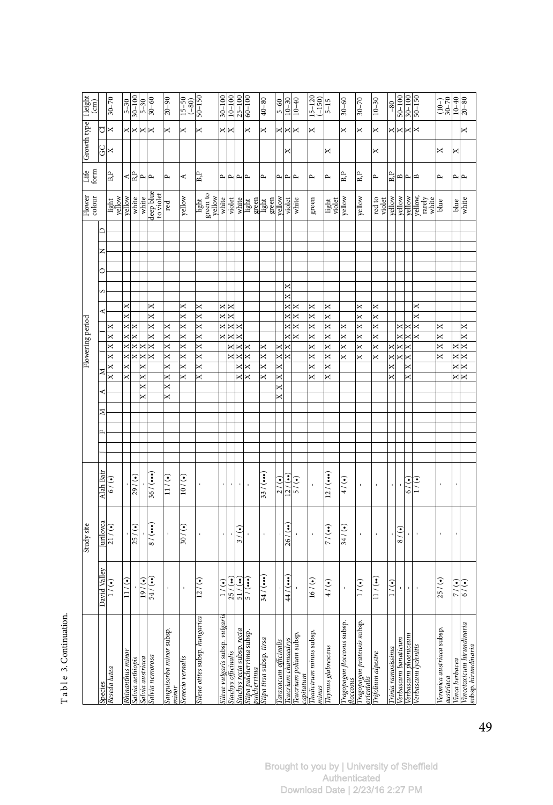| Growth type Height<br>$\text{cm}$ ) |              | $30 - 70$           | $5 - 30$                        | $30 - 100$          | $5 - 30$         | $30 - 60$              | $20 - 90$                         | $15 - 50$<br>$(-80)$         | $50 - 150$                     | $30 - 100$                      | $ 10 - 100$         | $25 - 100$                  | $60 - 100$                             | $40 - 80$                | $5 - 60$             | $10 - 30$               | $10 - 40$                          | $\frac{15-120}{5-15}$            |                                 |
|-------------------------------------|--------------|---------------------|---------------------------------|---------------------|------------------|------------------------|-----------------------------------|------------------------------|--------------------------------|---------------------------------|---------------------|-----------------------------|----------------------------------------|--------------------------|----------------------|-------------------------|------------------------------------|----------------------------------|---------------------------------|
|                                     | ℧            | $\times$            | $\times$                        | $\times$            | ×                | $\times$               | ×                                 | ×                            | $\times$                       | ×                               | $\times$            |                             | $\times$                               | ×                        | ×                    | ×                       | $\times$                           | ×                                |                                 |
|                                     | g            | ×                   |                                 |                     |                  |                        |                                   |                              |                                |                                 |                     |                             |                                        |                          |                      |                         |                                    |                                  | ×                               |
| Life<br>form                        |              | B,P                 | ₹                               | B.                  | p.               |                        | $\mathbf{r}$                      | ¢                            | В,Р                            |                                 |                     | $\overline{a}$              | d.                                     | $\mathbf{r}$             | $\mathbf{r}$         | Δ                       | $\sim$                             | p,                               | $\sim$                          |
| colour<br>Flower                    |              | vellow<br>light     | yellow                          | white               | white            | deep blue<br>to violet | red                               | yellow                       | green to<br>vellow<br>light    | white                           | violet              | white                       | green<br>light                         | green<br>light           | vellow               | violet                  | white                              | green                            | light                           |
|                                     | ≏            |                     |                                 |                     |                  |                        |                                   |                              |                                |                                 |                     |                             |                                        |                          |                      |                         |                                    |                                  |                                 |
|                                     | z            |                     |                                 |                     |                  |                        |                                   |                              |                                |                                 |                     |                             |                                        |                          |                      |                         |                                    |                                  |                                 |
|                                     | $\circ$      |                     |                                 |                     |                  |                        |                                   |                              |                                |                                 |                     |                             |                                        |                          |                      |                         |                                    |                                  |                                 |
|                                     |              |                     |                                 |                     |                  |                        |                                   |                              |                                |                                 |                     |                             |                                        |                          |                      | ×                       |                                    |                                  |                                 |
|                                     |              |                     |                                 |                     |                  |                        |                                   |                              |                                |                                 |                     |                             |                                        |                          |                      | $\overline{\mathbf{x}}$ |                                    |                                  |                                 |
|                                     |              |                     |                                 |                     |                  |                        |                                   |                              |                                |                                 |                     |                             |                                        |                          |                      | $X$ $X$ $X$ $X$ $X$     |                                    |                                  |                                 |
|                                     |              |                     | $X$ $X$ $X$ $X$ $X$ $X$ $X$ $X$ |                     |                  | $X$ $X$ $X$ $X$ $X$    |                                   | X X X X X X X                | $X$ $X$ $X$ $X$ $X$ $X$ $X$    | X X X X                         | X X X X X           |                             |                                        |                          |                      |                         | X X X X                            | X X X X X X X X                  | $X$ $X$ $X$ $X$ $X$ $X$ $X$ $X$ |
| Flowering period                    |              | $X$ $X$ $X$ $X$ $X$ |                                 | X X X               |                  |                        | X X X X X X X                     |                              |                                |                                 |                     | $X$   $X$   $X$   $X$   $X$ |                                        |                          |                      |                         |                                    |                                  |                                 |
|                                     |              |                     |                                 |                     |                  |                        |                                   |                              |                                |                                 |                     |                             |                                        |                          |                      |                         |                                    |                                  |                                 |
|                                     |              |                     |                                 |                     | X[X X X X]X      |                        |                                   |                              |                                |                                 |                     |                             | X X X X                                | X X X X                  | X X X X X            |                         |                                    |                                  |                                 |
|                                     |              |                     |                                 |                     |                  |                        |                                   |                              |                                |                                 |                     |                             |                                        |                          |                      |                         |                                    |                                  |                                 |
|                                     | Σ            |                     |                                 |                     |                  |                        |                                   |                              |                                |                                 |                     |                             |                                        |                          |                      |                         |                                    |                                  |                                 |
|                                     |              |                     |                                 |                     |                  |                        |                                   |                              |                                |                                 |                     |                             |                                        |                          |                      |                         |                                    |                                  |                                 |
|                                     |              |                     |                                 |                     |                  |                        |                                   |                              |                                |                                 |                     |                             |                                        |                          |                      |                         |                                    |                                  |                                 |
|                                     | ≍            |                     |                                 |                     |                  |                        |                                   |                              |                                |                                 |                     |                             |                                        |                          |                      |                         |                                    |                                  |                                 |
|                                     |              |                     |                                 |                     |                  |                        |                                   |                              |                                |                                 |                     |                             |                                        |                          |                      |                         |                                    |                                  |                                 |
|                                     |              |                     |                                 |                     |                  |                        |                                   |                              |                                |                                 |                     |                             |                                        |                          |                      |                         |                                    |                                  |                                 |
|                                     |              |                     |                                 |                     |                  |                        |                                   |                              |                                |                                 |                     |                             |                                        |                          |                      |                         |                                    |                                  |                                 |
|                                     |              |                     |                                 |                     |                  |                        |                                   |                              |                                |                                 |                     |                             |                                        |                          |                      |                         |                                    |                                  |                                 |
|                                     | Alah Bair    | $\frac{1}{6}$       |                                 | $29/$ ( $\bullet$ ) |                  | 36 / (•••)             | $11/(\cdot)$                      | $10/$ ( $\bullet$ )          |                                |                                 | í                   |                             |                                        | 33 / ()                  | 2/(•)                | $\frac{12}{12}$         | 5/(6)                              |                                  | $12/$ (…)                       |
| Study site                          | turilovca    | 21/(•)              |                                 | 25/(•)              |                  | 8/()                   |                                   | $30/$ $\left(\bullet\right)$ |                                |                                 |                     | 3/(6)                       |                                        |                          |                      | $26/$ ( $\bullet$ )     |                                    |                                  | 7/()                            |
|                                     | David Valley | $\frac{1}{2}$       | $\frac{11}{1}$                  |                     | 19/(6)           | <b>(••)</b> / FS       |                                   |                              | $12/(\cdot)$                   | $\frac{1}{1}$                   | 25/()               | 51/ $($ $)$                 | $5/$ (••)                              | 34 / ()                  |                      | (∙∙∙) / #               |                                    | $16/$ ( $\bullet$ )              | 4/(6)                           |
|                                     | species      | Reseda lutea        | Vuinanthus minor                | Salvia aethiopis    | salvia austriaca | Salvia nemorosa        | Sanguisorba minor subsp.<br>ninor | Senecio vernalis             | Silene otites subsp. hungarica | silene vulgaris subsp. vulgaris | stachys officinalis | stachys recta subsp. recta  | stipa pulcherrima subsp.<br>ulcherrima | stipa tirsa subsp. tirsa | araxacum officinalis | eucrium chamaedrys      | leucrium polium subsp.<br>apitatum | Thalictrum minus subsp.<br>ninus | Thymus glabrescens              |

| ω    |
|------|
|      |
|      |
|      |
|      |
|      |
|      |
| ׇ֦֡֡ |
|      |
|      |
|      |

 $\ddot{\phantom{a}}$ 

 $\begin{array}{|l}\n 30-100 \\
 \hline\n 5-30 \\
 \hline\n 30-60\n \end{array}$ 

 $\frac{15-50}{50-150}$ 

 $\begin{array}{r|l} \hline \text{X} & \text{30-100} \\ \hline \text{X} & \text{10-100} \\ \hline \text{25-100} \\ \text{X} & \text{60-100} \\ \hline \end{array}$ 

 $\frac{15-120}{5-15}$ 

violet P X 5–15

 $\frac{12}{12}$  (...)  $\overline{41}$ .

 $\frac{1}{71}$ (•)  $34/(•)$ 

34 / (•) 4 / (•) X X X X yellow B,P X 30–60

 $\overline{\mathsf{x}}$  $\times$  $\overline{\times}$  $\overline{\mathsf{x}}$ 

 $\overline{\mathbf{x}}$  $\times$  $\overline{\mathsf{x}}$  $\overline{\mathbf{x}}$ 

 $\overline{\mathsf{x}}$  $\times$  $\times$  $\overline{\mathsf{x}}$ 

 $\times$  $\times$  $\times$  $\times$ 

*orientalis* 1 / (•) - - X X X X X X yellow B,P X 30–70

ï

l, l,

 $\frac{1}{1}$ 

 $\frac{11}{10}$ 

 $1/(6)$ 

<u>Trinia ramosissima<br>Verbascum banaticum<br>Verbascum phoeniceum</u><br>Verbascum lychnitis

× ×

 $\times$  $\times$ 

*Trifolium alpestre* 11 / (••) - - X X X X X X red to

*Trinia ramosissima a* dia kaominin'i amin'ny kontrol dia kaominin'i André de La Marcha dia kaominina amin'ny faritr'i Amerika dia kaominin'i Amerika ao amin'ny faritr'i Amerika dia kaominin'i Amerika ao amin'ny faritr' *Verbascum banaticum* - 8 / (•) - X X X X yellow B X 50–100 *Verbascum phoeniceum* - - 6 / (•) X X X X X X yellow P X 30–100

 $\overline{x}$  $\overline{\mathsf{x}}$ 

 $\begin{array}{|c|c|}\n \hline\n X & X & X \\
 \hline\n X & X & X \\
 \hline\n \end{array}$ 

*Verbascum lychnitis* - 1 / (*•*) 1 / (*•*) 1 / (*•*) 1 / (*•*) - 1 / (*•*) - 1 / (*•*) - 1 / (*•*) - 1 / (*•*) - 1 / (*•*) - 1 / (*•*) - 1 / (*•*) - 1 / (*•*) - 1 / (*•*) - 1 / (*•*) - 1 / (*•*) - 1 / (*•*) - 1 / (*•*) -

 $\frac{6}{10}$  $\sqrt{\frac{1}{2}}$ 

 $\frac{8}{10}$ 

25 / (•) - - X X X X blue P X (10–)

 $\times$ হ  $\times$ 

 $\overline{\mathsf{x}}$ হ  $\times$  $\overline{\times}$  $\overline{\mathsf{x}}$ 

k

≅

*Vinca herbacea* 7 / (•) - - X X X X blue P X 10–40

হ  $\overline{\mathbf{x}}$ 

Vincetoxicum hirundinaria 6 / (•) 6 / (•) 6 / (•) 6 / (•) 6 / (•) 6 / (•) 6 / (•) 6 / (•) 6 / 20–80

 $\overline{\mathsf{x}}$ 

 $\overline{\times}$ 

violet<br><u>vellow</u><br>vellow,<br>rarely<br>white

ء|∞

 $\mathbf{B}$ 

×

1≍  $\overline{X}$   $\overline{X}$ ≅

 $\overline{\times}$ 

B | X | 50–150

 $\begin{array}{c|c}\nX & -80 \\
\hline\nX & 50-100 \\
\hline\nX & 30-100 \\
\hline\nX & 50-150\n\end{array}$ 

 $\frac{1}{36-70}$ <br> $\frac{1}{30-80}$ 

⋉

 $\frac{1}{\text{blue}}$ white

 $\times$ 

 $\overline{a}$ ∣≏ ∣⊶

 $\mathbin{\bowtie}$ 

 $\sim$ 

B.P

X X 10–30

 $\times$ 

 $\times$ 

 $\frac{30-70}{ }$  $10 - 30$ 

 $\times$ 

B.P

 $rac{30-60}{ }$ 

 $\times$ 

B.P

 $\frac{\text{light}}{\text{violet}}$ yellow

| ë<br>۰,<br>۰, |
|---------------|
|               |

*Veronica austriaca* subsp*.*  austriaca<br>Vinca herbacea<br>Vincetoxicum hirundinaria<br>subsp. hirundinaria

/eronica austriaca subsp.

l,

 $25/(•)$  $\frac{216}{616}$ 

*Vincetoxicum hirundinaria* 

Brought to you by | University of Sheffield Authenticated Download Date | 2/23/16 2:27 PM

*Tragopogon floccosus* subsp. *fragopogon floccosus* subsp.<br>floccosus<br>*fragopogon pratensis* subsp.<br>prientalis

*Tragopogon pratensis* subsp.

Trifolium alpestre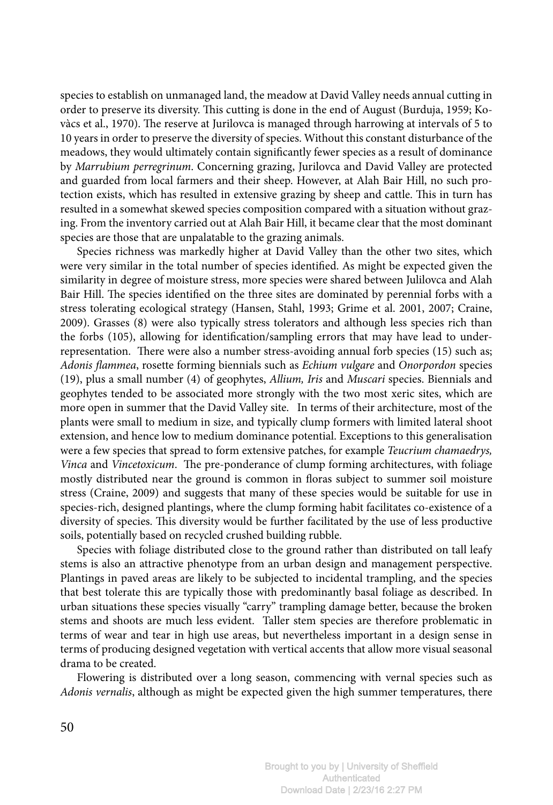species to establish on unmanaged land, the meadow at David Valley needs annual cutting in order to preserve its diversity. This cutting is done in the end of August (Burduja, 1959; Kovàcs et al., 1970). The reserve at Jurilovca is managed through harrowing at intervals of 5 to 10 years in order to preserve the diversity of species. Without this constant disturbance of the meadows, they would ultimately contain significantly fewer species as a result of dominance by *Marrubium perregrinum*. Concerning grazing, Jurilovca and David Valley are protected and guarded from local farmers and their sheep. However, at Alah Bair Hill, no such protection exists, which has resulted in extensive grazing by sheep and cattle. This in turn has resulted in a somewhat skewed species composition compared with a situation without grazing. From the inventory carried out at Alah Bair Hill, it became clear that the most dominant species are those that are unpalatable to the grazing animals.

Species richness was markedly higher at David Valley than the other two sites, which were very similar in the total number of species identified. As might be expected given the similarity in degree of moisture stress, more species were shared between Julilovca and Alah Bair Hill. The species identified on the three sites are dominated by perennial forbs with a stress tolerating ecological strategy (Hansen, Stahl, 1993; Grime et al. 2001, 2007; Craine, 2009). Grasses (8) were also typically stress tolerators and although less species rich than the forbs (105), allowing for identification/sampling errors that may have lead to underrepresentation. There were also a number stress-avoiding annual forb species (15) such as; *Adonis flammea*, rosette forming biennials such as *Echium vulgare* and *Onorpordon* species (19), plus a small number (4) of geophytes, *Allium, Iris* and *Muscari* species. Biennials and geophytes tended to be associated more strongly with the two most xeric sites, which are more open in summer that the David Valley site. In terms of their architecture, most of the plants were small to medium in size, and typically clump formers with limited lateral shoot extension, and hence low to medium dominance potential. Exceptions to this generalisation were a few species that spread to form extensive patches, for example *Teucrium chamaedrys, Vinca* and *Vincetoxicum*. The pre-ponderance of clump forming architectures, with foliage mostly distributed near the ground is common in floras subject to summer soil moisture stress (Craine, 2009) and suggests that many of these species would be suitable for use in species-rich, designed plantings, where the clump forming habit facilitates co-existence of a diversity of species. This diversity would be further facilitated by the use of less productive soils, potentially based on recycled crushed building rubble.

Species with foliage distributed close to the ground rather than distributed on tall leafy stems is also an attractive phenotype from an urban design and management perspective. Plantings in paved areas are likely to be subjected to incidental trampling, and the species that best tolerate this are typically those with predominantly basal foliage as described. In urban situations these species visually "carry" trampling damage better, because the broken stems and shoots are much less evident. Taller stem species are therefore problematic in terms of wear and tear in high use areas, but nevertheless important in a design sense in terms of producing designed vegetation with vertical accents that allow more visual seasonal drama to be created.

Flowering is distributed over a long season, commencing with vernal species such as *Adonis vernalis*, although as might be expected given the high summer temperatures, there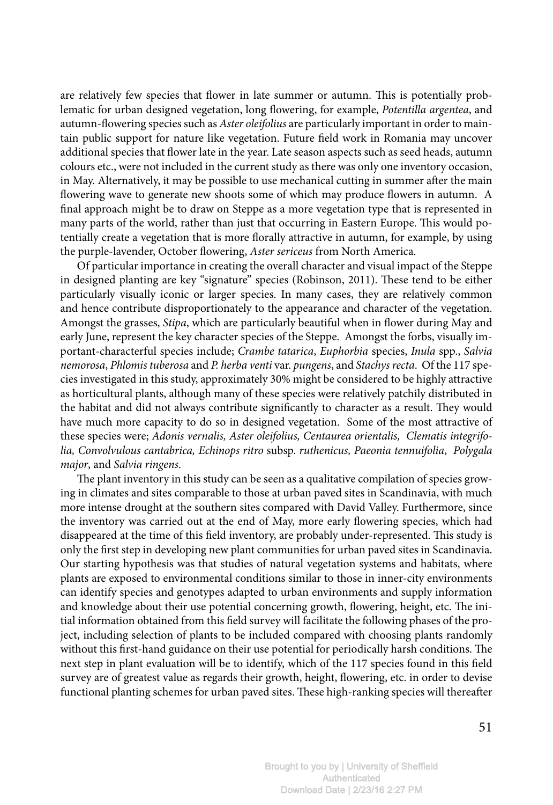are relatively few species that flower in late summer or autumn. This is potentially problematic for urban designed vegetation, long flowering, for example, *Potentilla argentea*, and autumn-flowering species such as *Aster oleifolius* are particularly important in order to maintain public support for nature like vegetation. Future field work in Romania may uncover additional species that flower late in the year. Late season aspects such as seed heads, autumn colours etc., were not included in the current study as there was only one inventory occasion, in May. Alternatively, it may be possible to use mechanical cutting in summer after the main flowering wave to generate new shoots some of which may produce flowers in autumn. A final approach might be to draw on Steppe as a more vegetation type that is represented in many parts of the world, rather than just that occurring in Eastern Europe. This would potentially create a vegetation that is more florally attractive in autumn, for example, by using the purple-lavender, October flowering, *Aster sericeus* from North America.

Of particular importance in creating the overall character and visual impact of the Steppe in designed planting are key "signature" species (Robinson, 2011). These tend to be either particularly visually iconic or larger species. In many cases, they are relatively common and hence contribute disproportionately to the appearance and character of the vegetation. Amongst the grasses, *Stipa*, which are particularly beautiful when in flower during May and early June, represent the key character species of the Steppe. Amongst the forbs, visually important-characterful species include; *Crambe tatarica*, *Euphorbia* species, *Inula* spp., *Salvia nemorosa*, *Phlomis tuberosa* and *P. herba venti* var. *pungens*, and *Stachys recta*. Of the 117 species investigated in this study, approximately 30% might be considered to be highly attractive as horticultural plants, although many of these species were relatively patchily distributed in the habitat and did not always contribute significantly to character as a result. They would have much more capacity to do so in designed vegetation. Some of the most attractive of these species were; *Adonis vernalis, Aster oleifolius, Centaurea orientalis, Clematis integrifolia, Convolvulous cantabrica, Echinops ritro* subsp. *ruthenicus, Paeonia tennuifolia*, *Polygala major*, and *Salvia ringens*.

The plant inventory in this study can be seen as a qualitative compilation of species growing in climates and sites comparable to those at urban paved sites in Scandinavia, with much more intense drought at the southern sites compared with David Valley. Furthermore, since the inventory was carried out at the end of May, more early flowering species, which had disappeared at the time of this field inventory, are probably under-represented. This study is only the first step in developing new plant communities for urban paved sites in Scandinavia. Our starting hypothesis was that studies of natural vegetation systems and habitats, where plants are exposed to environmental conditions similar to those in inner-city environments can identify species and genotypes adapted to urban environments and supply information and knowledge about their use potential concerning growth, flowering, height, etc. The initial information obtained from this field survey will facilitate the following phases of the project, including selection of plants to be included compared with choosing plants randomly without this first-hand guidance on their use potential for periodically harsh conditions. The next step in plant evaluation will be to identify, which of the 117 species found in this field survey are of greatest value as regards their growth, height, flowering, etc. in order to devise functional planting schemes for urban paved sites. These high-ranking species will thereafter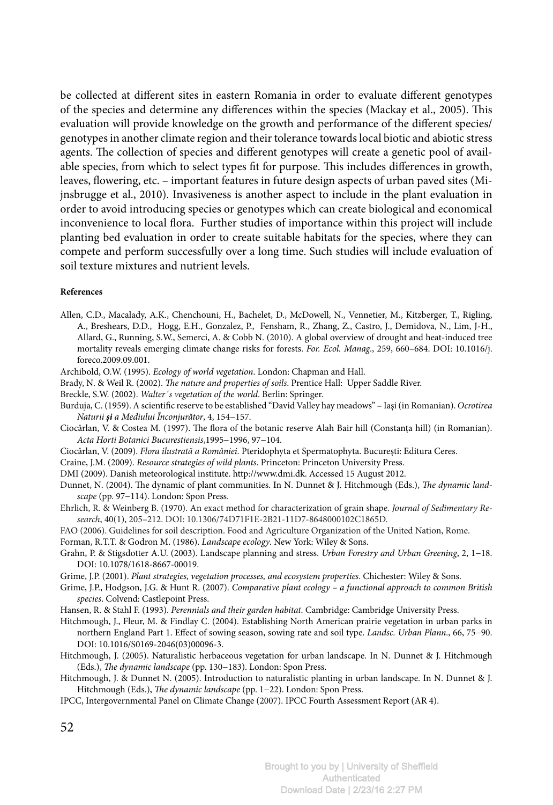be collected at different sites in eastern Romania in order to evaluate different genotypes of the species and determine any differences within the species (Mackay et al., 2005). This evaluation will provide knowledge on the growth and performance of the different species/ genotypes in another climate region and their tolerance towards local biotic and abiotic stress agents. The collection of species and different genotypes will create a genetic pool of available species, from which to select types fit for purpose. This includes differences in growth, leaves, flowering, etc. – important features in future design aspects of urban paved sites (Mijnsbrugge et al., 2010). Invasiveness is another aspect to include in the plant evaluation in order to avoid introducing species or genotypes which can create biological and economical inconvenience to local flora. Further studies of importance within this project will include planting bed evaluation in order to create suitable habitats for the species, where they can compete and perform successfully over a long time. Such studies will include evaluation of soil texture mixtures and nutrient levels.

#### **References**

- Allen, C.D., Macalady, A.K., Chenchouni, H., Bachelet, D., McDowell, N., Vennetier, M., Kitzberger, T., Rigling, A., Breshears, D.D., Hogg, E.H., Gonzalez, P., Fensham, R., Zhang, Z., Castro, J., Demidova, N., Lim, J-H., Allard, G., Running, S.W., Semerci, A. & Cobb N. (2010). A global overview of drought and heat-induced tree mortality reveals emerging climate change risks for forests. *For. Ecol. Manag*., 259, 660–684. DOI: [10.1016/j.](http://dx.doi.org/10.1016/j.foreco.2009.09.001) [foreco.2009.09.001](http://dx.doi.org/10.1016/j.foreco.2009.09.001).
- Archibold, O.W. (1995). *Ecology of world vegetation*. London: Chapman and Hall.
- Brady, N. & Weil R. (2002). *The nature and properties of soils*. Prentice Hall: Upper Saddle River.
- Breckle, S.W. (2002). *Walter´s vegetation of the world*. Berlin: Springer.
- Burduja, C. (1959). A scientific reserve to be established "David Valley hay meadows" Iaşi (in Romanian). *Ocrotirea Naturii şi a Mediului Ĭnconjurător*, 4, 154−157.
- Ciocârlan, V. & Costea M. (1997). The flora of the botanic reserve Alah Bair hill (Constanţa hill) (in Romanian). *Acta Horti Botanici Bucurestiensis*,1995−1996, 97−104.
- Ciocârlan, V. (2009). *Flora ilustrată a României*. Pteridophyta et Spermatophyta. Bucureşti: Editura Ceres.

Craine, J.M. (2009). *Resource strategies of wild plants*. Princeton: Princeton University Press.

- DMI (2009). Danish meteorological institute. http://www.dmi.dk. Accessed 15 August 2012.
- Dunnet, N. (2004). The dynamic of plant communities. In N. Dunnet & J. Hitchmough (Eds.), *The dynamic landscape* (pp. 97−114). London: Spon Press.
- Ehrlich, R. & Weinberg B. (1970). An exact method for characterization of grain shape. *Journal of Sedimentary Research*, 40(1), 205–212. [DOI: 10.1306/74D71F1E-2B21-11D7-8648000102C1865D](http://dx.doi.org/10.1306/74D71F1E-2B21-11D7-8648000102C1865D).

FAO (2006). Guidelines for soil description. Food and Agriculture Organization of the United Nation, Rome.

Forman, R.T.T. & Godron M. (1986). *Landscape ecology*. New York: Wiley & Sons.

- Grahn, P. & Stigsdotter A.U. (2003). Landscape planning and stress. *Urban Forestry and Urban Greening*, 2, 1−18. DOI: [10.1078/1618-8667-00019.](http://dx.doi.org/10.1078/1618-8667-00019)
- Grime, J.P. (2001). *Plant strategies, vegetation processes, and ecosystem properties*. Chichester: Wiley & Sons.
- Grime, J.P., Hodgson, J.G. & Hunt R. (2007). *Comparative plant ecology a functional approach to common British species*. Colvend: Castlepoint Press.
- Hansen, R. & Stahl F. (1993). *Perennials and their garden habitat*. Cambridge: Cambridge University Press.
- Hitchmough, J., Fleur, M. & Findlay C. (2004). Establishing North American prairie vegetation in urban parks in northern England Part 1. Effect of sowing season, sowing rate and soil type. *Landsc. Urban Plann*., 66, 75−90. DOI: [10.1016/S0169-2046\(03\)00096-3](http://dx.doi.org/10.1016/S0169-2046(03)00096-3).
- Hitchmough, J. (2005). Naturalistic herbaceous vegetation for urban landscape. In N. Dunnet & J. Hitchmough (Eds.), *The dynamic landscape* (pp. 130−183). London: Spon Press.
- Hitchmough, J. & Dunnet N. (2005). Introduction to naturalistic planting in urban landscape. In N. Dunnet & J. Hitchmough (Eds.), *The dynamic landscape* (pp. 1−22). London: Spon Press.
- IPCC, Intergovernmental Panel on Climate Change (2007). IPCC Fourth Assessment Report (AR 4).